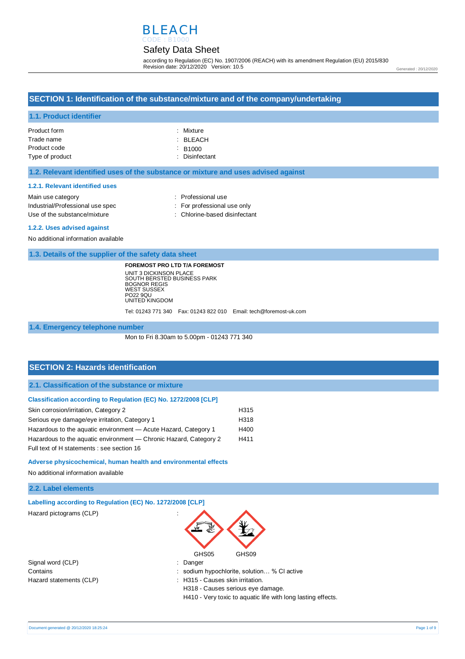

## Safety Data Sheet

according to Regulation (EC) No. 1907/2006 (REACH) with its amendment Regulation (EU) 2015/830 Revision date: 20/12/2020 Version: 10.5

### **SECTION 1: Identification of the substance/mixture and of the company/undertaking**

#### **1.1. Product identifier**

| Product form    | : Mixture                |
|-----------------|--------------------------|
| Trade name      | : BLEACH                 |
| Product code    | $\div$ B <sub>1000</sub> |
| Type of product | : Disinfectant           |

#### **1.2. Relevant identified uses of the substance or mixture and uses advised against**

#### **1.2.1. Relevant identified uses**

| Main use category                | : Professional use            |
|----------------------------------|-------------------------------|
| Industrial/Professional use spec | : For professional use only   |
| Use of the substance/mixture     | : Chlorine-based disinfectant |

#### **1.2.2. Uses advised against**

No additional information available

**1.3. Details of the supplier of the safety data sheet**

**FOREMOST PRO LTD T/A FOREMOST** UNIT 3 DICKINSON PLACE SOUTH BERSTED BUSINESS PARK BOGNOR REGIS WEST SUSSEX PO22 9QU UNITED KINGDOM

Tel: 01243 771 340 Fax: 01243 822 010 Email: tech@foremost-uk.com

#### **1.4. Emergency telephone number**

Mon to Fri 8.30am to 5.00pm - 01243 771 340

### **SECTION 2: Hazards identification**

**2.1. Classification of the substance or mixture**

#### **Classification according to Regulation (EC) No. 1272/2008 [CLP]**

| Skin corrosion/irritation, Category 2                             | H315 |
|-------------------------------------------------------------------|------|
| Serious eye damage/eye irritation, Category 1                     | H318 |
| Hazardous to the aquatic environment - Acute Hazard, Category 1   | H400 |
| Hazardous to the aquatic environment — Chronic Hazard, Category 2 | H411 |
| Full text of H statements : see section 16                        |      |

#### **Adverse physicochemical, human health and environmental effects**

No additional information available

### **2.2. Label elements**

|  | Labelling according to Regulation (EC) No. 1272/2008 [CLP] |  |  |  |
|--|------------------------------------------------------------|--|--|--|
|  |                                                            |  |  |  |

Hazard pictograms (CLP) :



Signal word (CLP)  $\qquad \qquad$ : Danger Hazard statements (CLP)  $\qquad \qquad$ : H315 - Causes skin irritation.

Contains : sodium hypochlorite, solution… % Cl active

H318 - Causes serious eye damage.

H410 - Very toxic to aquatic life with long lasting effects.

Generated : 20/12/2020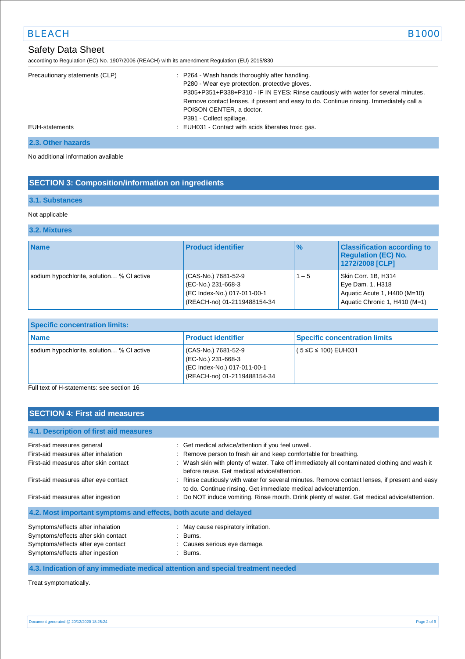# Safety Data Sheet

| according to Regulation (EC) No. 1907/2006 (REACH) with its amendment Regulation (EU) 2015/830 |
|------------------------------------------------------------------------------------------------|
|------------------------------------------------------------------------------------------------|

| Precautionary statements (CLP) | : P264 - Wash hands thoroughly after handling.                                         |
|--------------------------------|----------------------------------------------------------------------------------------|
|                                | P280 - Wear eye protection, protective gloves.                                         |
|                                | P305+P351+P338+P310 - IF IN EYES: Rinse cautiously with water for several minutes.     |
|                                | Remove contact lenses, if present and easy to do. Continue rinsing. Immediately call a |
|                                | POISON CENTER, a doctor.                                                               |
|                                | P391 - Collect spillage.                                                               |
| EUH-statements                 | : EUH031 - Contact with acids liberates toxic gas.                                     |

### **2.3. Other hazards**

No additional information available

## **SECTION 3: Composition/information on ingredients**

### **3.1. Substances**

### Not applicable

### **3.2. Mixtures**

| <b>Name</b>                               | <b>Product identifier</b>                                                                               | $\frac{9}{6}$ | <b>Classification according to</b><br><b>Regulation (EC) No.</b><br>1272/2008 [CLP]                      |
|-------------------------------------------|---------------------------------------------------------------------------------------------------------|---------------|----------------------------------------------------------------------------------------------------------|
| sodium hypochlorite, solution % CI active | (CAS-No.) 7681-52-9<br>(EC-No.) 231-668-3<br>(EC Index-No.) 017-011-00-1<br>(REACH-no) 01-2119488154-34 | $1 - 5$       | Skin Corr. 1B, H314<br>Eye Dam. 1, H318<br>Aquatic Acute 1, H400 (M=10)<br>Aquatic Chronic 1, H410 (M=1) |

| <b>Specific concentration limits:</b>     |                                                                                                         |                                      |  |
|-------------------------------------------|---------------------------------------------------------------------------------------------------------|--------------------------------------|--|
| <b>Name</b>                               | <b>Product identifier</b>                                                                               | <b>Specific concentration limits</b> |  |
| sodium hypochlorite, solution % CI active | (CAS-No.) 7681-52-9<br>(EC-No.) 231-668-3<br>(EC Index-No.) 017-011-00-1<br>(REACH-no) 01-2119488154-34 | $(5 \le C \le 100)$ EUH031           |  |

Full text of H-statements: see section 16

## **SECTION 4: First aid measures**

| First-aid measures general                                       | : Get medical advice/attention if you feel unwell.                                                                                                                |
|------------------------------------------------------------------|-------------------------------------------------------------------------------------------------------------------------------------------------------------------|
| First-aid measures after inhalation                              | : Remove person to fresh air and keep comfortable for breathing.                                                                                                  |
| First-aid measures after skin contact                            | : Wash skin with plenty of water. Take off immediately all contaminated clothing and wash it<br>before reuse. Get medical advice/attention.                       |
| First-aid measures after eye contact                             | : Rinse cautiously with water for several minutes. Remove contact lenses, if present and easy<br>to do. Continue rinsing. Get immediate medical advice/attention. |
| First-aid measures after ingestion                               | : Do NOT induce vomiting. Rinse mouth. Drink plenty of water. Get medical advice/attention.                                                                       |
| 4.2. Most important symptoms and effects, both acute and delayed |                                                                                                                                                                   |
| Symptoms/effects after inhalation                                | : May cause respiratory irritation.                                                                                                                               |
| Symptoms/effects after skin contact                              | $\therefore$ Burns.                                                                                                                                               |
| Symptoms/effects after eye contact                               | : Causes serious eye damage.                                                                                                                                      |
| Symptoms/effects after ingestion                                 | : Burns.                                                                                                                                                          |

## **4.3. Indication of any immediate medical attention and special treatment needed**

Treat symptomatically.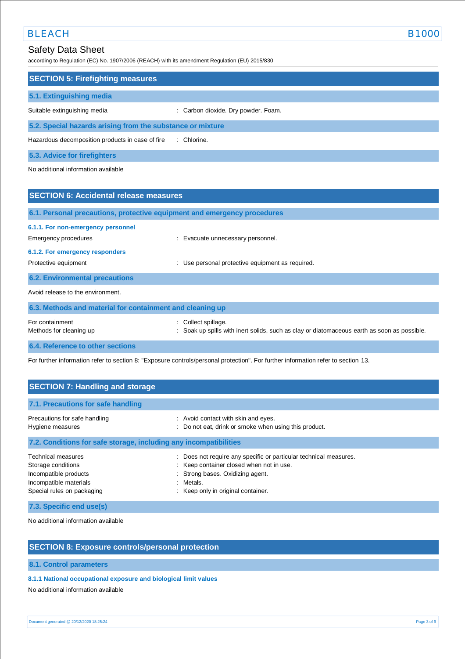## Safety Data Sheet

according to Regulation (EC) No. 1907/2006 (REACH) with its amendment Regulation (EU) 2015/830

| <b>SECTION 5: Firefighting measures</b>                    |                                     |  |
|------------------------------------------------------------|-------------------------------------|--|
| 5.1. Extinguishing media                                   |                                     |  |
| Suitable extinguishing media                               | : Carbon dioxide. Dry powder. Foam. |  |
| 5.2. Special hazards arising from the substance or mixture |                                     |  |
| Hazardous decomposition products in case of fire           | : Chlorine.                         |  |

**5.3. Advice for firefighters**

No additional information available

| <b>SECTION 6: Accidental release measures</b>                            |                                                                                                                    |
|--------------------------------------------------------------------------|--------------------------------------------------------------------------------------------------------------------|
| 6.1. Personal precautions, protective equipment and emergency procedures |                                                                                                                    |
| 6.1.1. For non-emergency personnel<br>Emergency procedures               | : Evacuate unnecessary personnel.                                                                                  |
| 6.1.2. For emergency responders<br>Protective equipment                  | : Use personal protective equipment as required.                                                                   |
| <b>6.2. Environmental precautions</b>                                    |                                                                                                                    |
| Avoid release to the environment.                                        |                                                                                                                    |
| 6.3. Methods and material for containment and cleaning up                |                                                                                                                    |
| For containment<br>Methods for cleaning up                               | : Collect spillage.<br>: Soak up spills with inert solids, such as clay or diatomaceous earth as soon as possible. |
| 6.4. Reference to other sections                                         |                                                                                                                    |

For further information refer to section 8: "Exposure controls/personal protection". For further information refer to section 13.

| <b>SECTION 7: Handling and storage</b>                                                                                    |                                                                                                                                                                                                    |
|---------------------------------------------------------------------------------------------------------------------------|----------------------------------------------------------------------------------------------------------------------------------------------------------------------------------------------------|
| 7.1. Precautions for safe handling                                                                                        |                                                                                                                                                                                                    |
| Precautions for safe handling<br>Hygiene measures                                                                         | : Avoid contact with skin and eyes.<br>: Do not eat, drink or smoke when using this product.                                                                                                       |
| 7.2. Conditions for safe storage, including any incompatibilities                                                         |                                                                                                                                                                                                    |
| Technical measures<br>Storage conditions<br>Incompatible products<br>Incompatible materials<br>Special rules on packaging | : Does not require any specific or particular technical measures.<br>: Keep container closed when not in use.<br>Strong bases. Oxidizing agent.<br>: Metals.<br>: Keep only in original container. |

**7.3. Specific end use(s)**

No additional information available

### **SECTION 8: Exposure controls/personal protection**

**8.1. Control parameters**

**8.1.1 National occupational exposure and biological limit values** 

No additional information available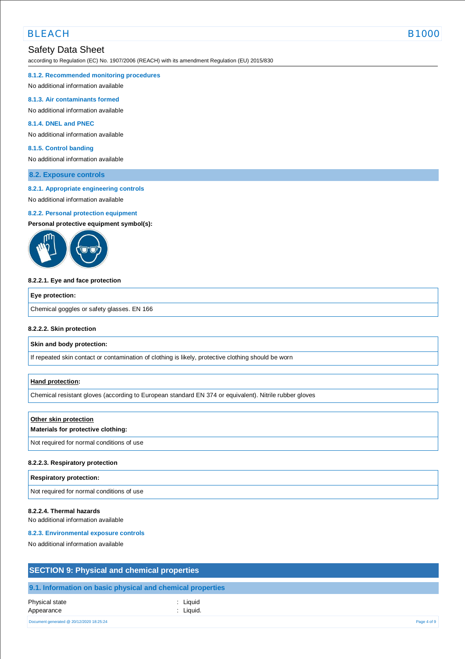## Safety Data Sheet

according to Regulation (EC) No. 1907/2006 (REACH) with its amendment Regulation (EU) 2015/830

#### **8.1.2. Recommended monitoring procedures**

No additional information available

#### **8.1.3. Air contaminants formed**

No additional information available

### **8.1.4. DNEL and PNEC**

No additional information available

#### **8.1.5. Control banding**

No additional information available

#### **8.2. Exposure controls**

#### **8.2.1. Appropriate engineering controls**

No additional information available

#### **8.2.2. Personal protection equipment**

**Personal protective equipment symbol(s):**



#### **8.2.2.1. Eye and face protection**

#### **Eye protection:**

Chemical goggles or safety glasses. EN 166

#### **8.2.2.2. Skin protection**

#### **Skin and body protection:**

If repeated skin contact or contamination of clothing is likely, protective clothing should be worn

#### **Hand protection:**

Chemical resistant gloves (according to European standard EN 374 or equivalent). Nitrile rubber gloves

#### **Other skin protection**

#### **Materials for protective clothing:**

Not required for normal conditions of use

#### **8.2.2.3. Respiratory protection**

| <b>Respiratory protection:</b>            |  |
|-------------------------------------------|--|
| Not required for normal conditions of use |  |

#### **8.2.2.4. Thermal hazards**

No additional information available

#### **8.2.3. Environmental exposure controls**

No additional information available

## **SECTION 9: Physical and chemical properties**

### **9.1. Information on basic physical and chemical properties**

| Physical state<br>Appearance             | : Liquid<br>: Liquid. |             |
|------------------------------------------|-----------------------|-------------|
| Document generated @ 20/12/2020 18:25:24 |                       | Page 4 of 9 |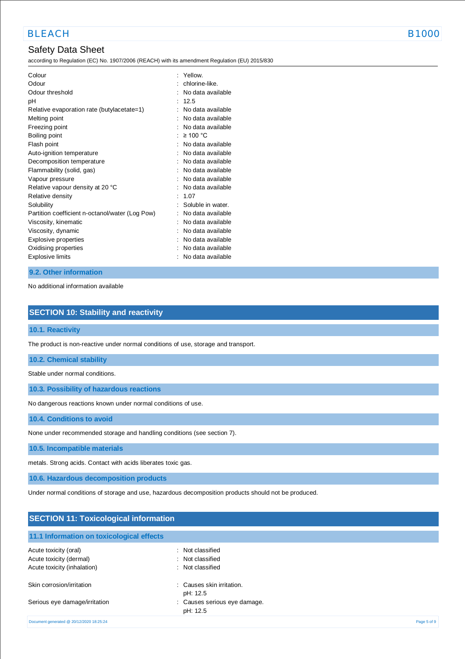## Safety Data Sheet

according to Regulation (EC) No. 1907/2006 (REACH) with its amendment Regulation (EU) 2015/830

| Colour<br>Odour<br>Odour threshold<br>рH                    | ۰ | Yellow.<br>chlorine-like.<br>No data available<br>12.5 |
|-------------------------------------------------------------|---|--------------------------------------------------------|
| Relative evaporation rate (butylacetate=1)<br>Melting point |   | No data available<br>No data available                 |
| Freezing point<br>Boiling point                             |   | No data available<br>$\geq 100$ °C                     |
| Flash point                                                 |   | No data available                                      |
| Auto-ignition temperature                                   |   | No data available                                      |
| Decomposition temperature                                   |   | No data available                                      |
| Flammability (solid, gas)                                   |   | No data available                                      |
| Vapour pressure                                             |   | No data available                                      |
| Relative vapour density at 20 °C                            |   | No data available                                      |
| Relative density                                            |   | 1.07                                                   |
| Solubility                                                  |   | Soluble in water.                                      |
| Partition coefficient n-octanol/water (Log Pow)             |   | No data available                                      |
| Viscosity, kinematic                                        |   | No data available                                      |
| Viscosity, dynamic                                          |   | No data available                                      |
| Explosive properties                                        |   | No data available                                      |
| Oxidising properties                                        |   | No data available                                      |
| Explosive limits                                            |   | No data available                                      |

### **9.2. Other information**

No additional information available

### **SECTION 10: Stability and reactivity**

#### **10.1. Reactivity**

The product is non-reactive under normal conditions of use, storage and transport.

#### **10.2. Chemical stability**

Stable under normal conditions.

**10.3. Possibility of hazardous reactions**

No dangerous reactions known under normal conditions of use.

**10.4. Conditions to avoid**

None under recommended storage and handling conditions (see section 7).

### **10.5. Incompatible materials**

metals. Strong acids. Contact with acids liberates toxic gas.

**10.6. Hazardous decomposition products**

Under normal conditions of storage and use, hazardous decomposition products should not be produced.

# **SECTION 11: Toxicological information**

### **11.1 Information on toxicological effects**

| Acute toxicity (oral)<br>Acute toxicity (dermal)<br>Acute toxicity (inhalation) | : Not classified<br>: Not classified<br>: Not classified |             |
|---------------------------------------------------------------------------------|----------------------------------------------------------|-------------|
| Skin corrosion/irritation                                                       | : Causes skin irritation.<br>pH: 12.5                    |             |
| Serious eye damage/irritation                                                   | : Causes serious eye damage.<br>pH: 12.5                 |             |
| Document generated @ 20/12/2020 18:25:24                                        |                                                          | Page 5 of 9 |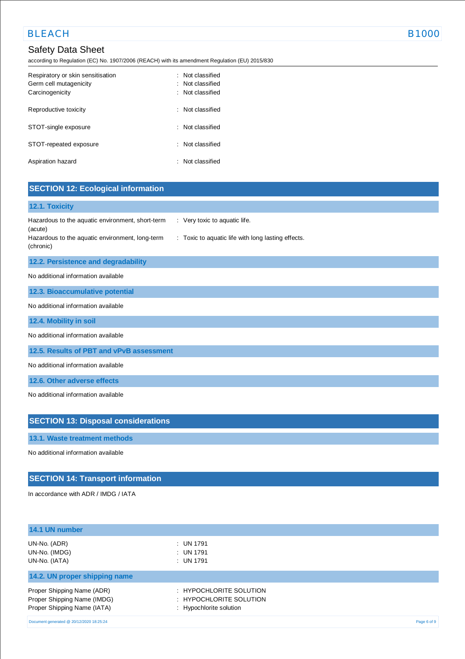## Safety Data Sheet

according to Regulation (EC) No. 1907/2006 (REACH) with its amendment Regulation (EU) 2015/830

| Respiratory or skin sensitisation<br>Germ cell mutagenicity<br>Carcinogenicity | $\therefore$ Not classified<br>: Not classified<br>: Not classified |
|--------------------------------------------------------------------------------|---------------------------------------------------------------------|
| Reproductive toxicity                                                          | : Not classified                                                    |
| STOT-single exposure                                                           | $\therefore$ Not classified                                         |
| STOT-repeated exposure                                                         | : Not classified                                                    |
| Aspiration hazard                                                              | $\therefore$ Not classified                                         |

| <b>SECTION 12: Ecological information</b>                                                                                                                                                                          |  |
|--------------------------------------------------------------------------------------------------------------------------------------------------------------------------------------------------------------------|--|
| 12.1. Toxicity                                                                                                                                                                                                     |  |
| Hazardous to the aquatic environment, short-term<br>: Very toxic to aquatic life.<br>(acute)<br>Hazardous to the aquatic environment, long-term<br>: Toxic to aquatic life with long lasting effects.<br>(chronic) |  |
| 12.2. Persistence and degradability                                                                                                                                                                                |  |
| No additional information available                                                                                                                                                                                |  |
| 12.3. Bioaccumulative potential                                                                                                                                                                                    |  |
| No additional information available                                                                                                                                                                                |  |
| 12.4. Mobility in soil                                                                                                                                                                                             |  |
| No additional information available                                                                                                                                                                                |  |
| 12.5. Results of PBT and vPvB assessment                                                                                                                                                                           |  |
| No additional information available                                                                                                                                                                                |  |
| 12.6. Other adverse effects                                                                                                                                                                                        |  |
| No additional information available                                                                                                                                                                                |  |
|                                                                                                                                                                                                                    |  |
| <b>SECTION 13: Disposal considerations</b>                                                                                                                                                                         |  |
| 13.1. Waste treatment methods                                                                                                                                                                                      |  |
| No additional information available                                                                                                                                                                                |  |

## **SECTION 14: Transport information**

In accordance with ADR / IMDG / IATA

| 14.1 UN number                                                                           |                                                                               |             |
|------------------------------------------------------------------------------------------|-------------------------------------------------------------------------------|-------------|
| UN-No. (ADR)<br>UN-No. (IMDG)<br>UN-No. (IATA)                                           | $\therefore$ UN 1791<br>$:$ UN 1791<br>$:$ UN 1791                            |             |
| 14.2. UN proper shipping name                                                            |                                                                               |             |
| Proper Shipping Name (ADR)<br>Proper Shipping Name (IMDG)<br>Proper Shipping Name (IATA) | : HYPOCHLORITE SOLUTION<br>: HYPOCHLORITE SOLUTION<br>: Hypochlorite solution |             |
| Document generated @ 20/12/2020 18:25:24                                                 |                                                                               | Page 6 of 9 |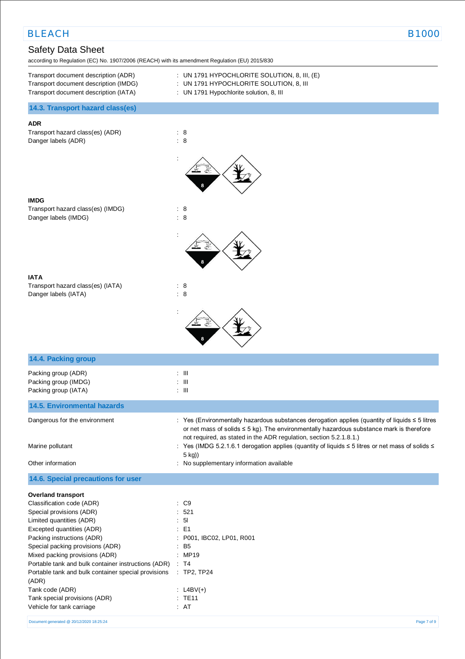## Safety Data Sheet

according to Regulation (EC) No. 1907/2006 (REACH) with its amendment Regulation (EU) 2015/830

| Transport document description (ADR)  |  |
|---------------------------------------|--|
| Transport document description (IMDG) |  |
| Transport document description (IATA) |  |

 $:$  UN 1791 HYPOCHLORITE SOLUTION, 8, III, (E) : UN 1791 HYPOCHLORITE SOLUTION, 8, III

: UN 1791 Hypochlorite solution, 8, III

### **14.3. Transport hazard class(es)**

### **ADR**

Transport hazard class(es) (ADR) : 8 Danger labels (ADR) : 8



:





**14.4. Packing group**

Transport hazard class(es) (IATA) : 8 Danger labels (IATA) : 8



| 14.4. Packing group                                                 |                                                                                                                                                                                                                                                                            |
|---------------------------------------------------------------------|----------------------------------------------------------------------------------------------------------------------------------------------------------------------------------------------------------------------------------------------------------------------------|
| Packing group (ADR)<br>Packing group (IMDG)<br>Packing group (IATA) | $\therefore$ $\blacksquare$<br>$\therefore$ $\blacksquare$<br>$\therefore$ $\blacksquare$                                                                                                                                                                                  |
| <b>14.5. Environmental hazards</b>                                  |                                                                                                                                                                                                                                                                            |
| Dangerous for the environment                                       | : Yes (Environmentally hazardous substances derogation applies (quantity of liquids $\leq$ 5 litres<br>or net mass of solids $\leq$ 5 kg). The environmentally hazardous substance mark is therefore<br>not required, as stated in the ADR regulation, section 5.2.1.8.1.) |
| Marine pollutant                                                    | : Yes (IMDG 5.2.1.6.1 derogation applies (quantity of liquids ≤ 5 litres or net mass of solids ≤<br>$5$ kg))                                                                                                                                                               |
| Other information                                                   | : No supplementary information available                                                                                                                                                                                                                                   |
| 14.6. Special precautions for user                                  |                                                                                                                                                                                                                                                                            |
| <b>Overland transport</b>                                           |                                                                                                                                                                                                                                                                            |
| Classification code (ADR)                                           | $\therefore$ C9                                                                                                                                                                                                                                                            |
| Special provisions (ADR)                                            | : 521                                                                                                                                                                                                                                                                      |
| Limited quantities (ADR)                                            | : 51                                                                                                                                                                                                                                                                       |
| Excepted quantities (ADR)                                           | $\therefore$ E1                                                                                                                                                                                                                                                            |
| Packing instructions (ADR)                                          | : P001, IBC02, LP01, R001                                                                                                                                                                                                                                                  |
| Special packing provisions (ADR)                                    | $:$ B <sub>5</sub>                                                                                                                                                                                                                                                         |
| Mixed packing provisions (ADR)                                      | : MP19                                                                                                                                                                                                                                                                     |
| Portable tank and bulk container instructions (ADR) : T4            |                                                                                                                                                                                                                                                                            |
| Portable tank and bulk container special provisions<br>(ADR)        | $\therefore$ TP2, TP24                                                                                                                                                                                                                                                     |
| Tank code (ADR)                                                     | : $L4BV(+)$                                                                                                                                                                                                                                                                |
| Tank special provisions (ADR)                                       | $:$ TE11                                                                                                                                                                                                                                                                   |

Vehicle for tank carriage : AT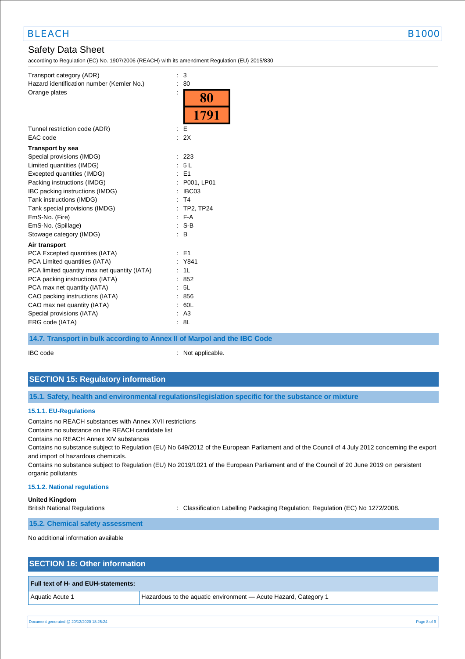# Safety Data Sheet

according to Regulation (EC) No. 1907/2006 (REACH) with its amendment Regulation (EU) 2015/830

| Transport category (ADR)<br>Hazard identification number (Kemler No.) | t | 3<br>80          |
|-----------------------------------------------------------------------|---|------------------|
| Orange plates                                                         |   | 80               |
|                                                                       |   | 1791             |
| Tunnel restriction code (ADR)                                         |   | Е                |
| EAC code                                                              |   | : 2X             |
| <b>Transport by sea</b>                                               |   |                  |
| Special provisions (IMDG)                                             |   | 223              |
| Limited quantities (IMDG)                                             |   | 5L               |
| Excepted quantities (IMDG)                                            |   | E <sub>1</sub>   |
| Packing instructions (IMDG)                                           |   | P001, LP01       |
| IBC packing instructions (IMDG)                                       |   | IBC03            |
| Tank instructions (IMDG)                                              |   | T <sub>4</sub>   |
| Tank special provisions (IMDG)                                        |   | <b>TP2, TP24</b> |
| EmS-No. (Fire)                                                        |   | $F-A$            |
| EmS-No. (Spillage)                                                    |   | $S-B$            |
| Stowage category (IMDG)                                               |   | в                |
| Air transport                                                         |   |                  |
| PCA Excepted quantities (IATA)                                        |   | E <sub>1</sub>   |
| PCA Limited quantities (IATA)                                         |   | Y841             |
| PCA limited quantity max net quantity (IATA)                          |   | 1L               |
| PCA packing instructions (IATA)                                       |   | 852              |
| PCA max net quantity (IATA)                                           |   | 5L               |
| CAO packing instructions (IATA)                                       |   | 856              |
| CAO max net quantity (IATA)                                           |   | 60L              |
| Special provisions (IATA)                                             |   | A <sub>3</sub>   |
| ERG code (IATA)                                                       |   | 8L               |

### **14.7. Transport in bulk according to Annex II of Marpol and the IBC Code**

IBC code : Not applicable.

## **SECTION 15: Regulatory information**

**15.1. Safety, health and environmental regulations/legislation specific for the substance or mixture**

#### **15.1.1. EU-Regulations**

Contains no REACH substances with Annex XVII restrictions

Contains no substance on the REACH candidate list

Contains no REACH Annex XIV substances

Contains no substance subject to Regulation (EU) No 649/2012 of the European Parliament and of the Council of 4 July 2012 concerning the export and import of hazardous chemicals.

Contains no substance subject to Regulation (EU) No 2019/1021 of the European Parliament and of the Council of 20 June 2019 on persistent organic pollutants

#### **15.1.2. National regulations**

**United Kingdom**

British National Regulations : Classification Labelling Packaging Regulation; Regulation (EC) No 1272/2008.

**15.2. Chemical safety assessment**

No additional information available

## **SECTION 16: Other information**

#### **Full text of H- and EUH-statements:**

Aquatic Acute 1 Hazardous to the aquatic environment — Acute Hazard, Category 1

Document generated @ 20/12/2020 18:25:24 Page 8 of 9